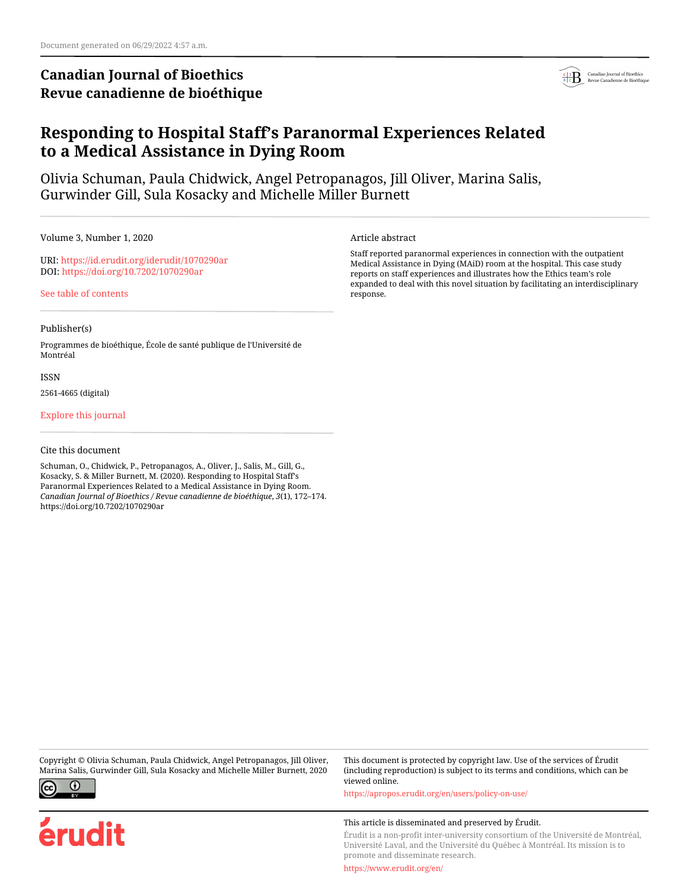# **Canadian Journal of Bioethics Revue canadienne de bioéthique**



# **Responding to Hospital Staff's Paranormal Experiences Related to a Medical Assistance in Dying Room**

Olivia Schuman, Paula Chidwick, Angel Petropanagos, Jill Oliver, Marina Salis, Gurwinder Gill, Sula Kosacky and Michelle Miller Burnett

Volume 3, Number 1, 2020

URI:<https://id.erudit.org/iderudit/1070290ar> DOI:<https://doi.org/10.7202/1070290ar>

[See table of contents](https://www.erudit.org/en/journals/bioethics/2020-v3-n1-bioethics05237/)

## Publisher(s)

Programmes de bioéthique, École de santé publique de l'Université de Montréal

ISSN

2561-4665 (digital)

[Explore this journal](https://www.erudit.org/en/journals/bioethics/)

Cite this document

Schuman, O., Chidwick, P., Petropanagos, A., Oliver, J., Salis, M., Gill, G., Kosacky, S. & Miller Burnett, M. (2020). Responding to Hospital Staff's Paranormal Experiences Related to a Medical Assistance in Dying Room. *Canadian Journal of Bioethics / Revue canadienne de bioéthique*, *3*(1), 172–174. https://doi.org/10.7202/1070290ar

Copyright © Olivia Schuman, Paula Chidwick, Angel Petropanagos, Jill Oliver, Marina Salis, Gurwinder Gill, Sula Kosacky and Michelle Miller Burnett, 2020



erudit

Article abstract

Staff reported paranormal experiences in connection with the outpatient Medical Assistance in Dying (MAiD) room at the hospital. This case study reports on staff experiences and illustrates how the Ethics team's role expanded to deal with this novel situation by facilitating an interdisciplinary response.

This article is disseminated and preserved by Érudit.

<https://apropos.erudit.org/en/users/policy-on-use/>

Érudit is a non-profit inter-university consortium of the Université de Montréal, Université Laval, and the Université du Québec à Montréal. Its mission is to promote and disseminate research.

This document is protected by copyright law. Use of the services of Érudit (including reproduction) is subject to its terms and conditions, which can be

<https://www.erudit.org/en/>

viewed online.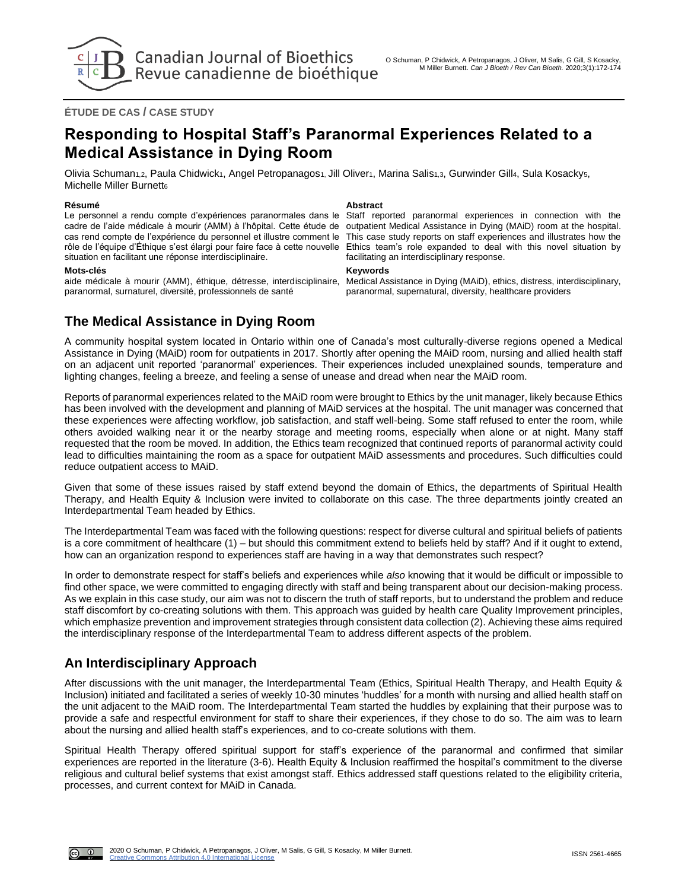

## **ÉTUDE DE CAS / CASE STUDY**

# **Responding to Hospital Staff's Paranormal Experiences Related to a Medical Assistance in Dying Room**

Olivia Schuman<sub>1,2</sub>, Paula Chidwick<sub>1</sub>, Angel Petropanagos<sub>1</sub>, Jill Oliver<sub>1</sub>, Marina Salis<sub>1,3</sub>, Gurwinder Gill4, Sula Kosacky5, Michelle Miller Burnett6

### **Résumé Abstract**

Le personnel a rendu compte d'expériences paranormales dans le cadre de l'aide médicale à mourir (AMM) à l'hôpital. Cette étude de cas rend compte de l'expérience du personnel et illustre comment le rôle de l'équipe d'Éthique s'est élargi pour faire face à cette nouvelle situation en facilitant une réponse interdisciplinaire.

paranormal, surnaturel, diversité, professionnels de santé

Staff reported paranormal experiences in connection with the outpatient Medical Assistance in Dying (MAiD) room at the hospital. This case study reports on staff experiences and illustrates how the Ethics team's role expanded to deal with this novel situation by facilitating an interdisciplinary response.

#### **Mots-clés Keywords**

aide médicale à mourir (AMM), éthique, détresse, interdisciplinaire, Medical Assistance in Dying (MAiD), ethics, distress, interdisciplinary, paranormal, supernatural, diversity, healthcare providers

# **The Medical Assistance in Dying Room**

A community hospital system located in Ontario within one of Canada's most culturally-diverse regions opened a Medical Assistance in Dying (MAiD) room for outpatients in 2017. Shortly after opening the MAiD room, nursing and allied health staff on an adjacent unit reported 'paranormal' experiences. Their experiences included unexplained sounds, temperature and lighting changes, feeling a breeze, and feeling a sense of unease and dread when near the MAiD room.

Reports of paranormal experiences related to the MAiD room were brought to Ethics by the unit manager, likely because Ethics has been involved with the development and planning of MAiD services at the hospital. The unit manager was concerned that these experiences were affecting workflow, job satisfaction, and staff well-being. Some staff refused to enter the room, while others avoided walking near it or the nearby storage and meeting rooms, especially when alone or at night. Many staff requested that the room be moved. In addition, the Ethics team recognized that continued reports of paranormal activity could lead to difficulties maintaining the room as a space for outpatient MAiD assessments and procedures. Such difficulties could reduce outpatient access to MAiD.

Given that some of these issues raised by staff extend beyond the domain of Ethics, the departments of Spiritual Health Therapy, and Health Equity & Inclusion were invited to collaborate on this case. The three departments jointly created an Interdepartmental Team headed by Ethics.

The Interdepartmental Team was faced with the following questions: respect for diverse cultural and spiritual beliefs of patients is a core commitment of healthcare (1) – but should this commitment extend to beliefs held by staff? And if it ought to extend, how can an organization respond to experiences staff are having in a way that demonstrates such respect?

In order to demonstrate respect for staff's beliefs and experiences while *also* knowing that it would be difficult or impossible to find other space, we were committed to engaging directly with staff and being transparent about our decision-making process. As we explain in this case study, our aim was not to discern the truth of staff reports, but to understand the problem and reduce staff discomfort by co-creating solutions with them. This approach was guided by health care Quality Improvement principles, which emphasize prevention and improvement strategies through consistent data collection (2). Achieving these aims required the interdisciplinary response of the Interdepartmental Team to address different aspects of the problem.

# **An Interdisciplinary Approach**

After discussions with the unit manager, the Interdepartmental Team (Ethics, Spiritual Health Therapy, and Health Equity & Inclusion) initiated and facilitated a series of weekly 10-30 minutes 'huddles' for a month with nursing and allied health staff on the unit adjacent to the MAiD room. The Interdepartmental Team started the huddles by explaining that their purpose was to provide a safe and respectful environment for staff to share their experiences, if they chose to do so. The aim was to learn about the nursing and allied health staff's experiences, and to co-create solutions with them.

Spiritual Health Therapy offered spiritual support for staff's experience of the paranormal and confirmed that similar experiences are reported in the literature (3-6). Health Equity & Inclusion reaffirmed the hospital's commitment to the diverse religious and cultural belief systems that exist amongst staff. Ethics addressed staff questions related to the eligibility criteria, processes, and current context for MAiD in Canada.

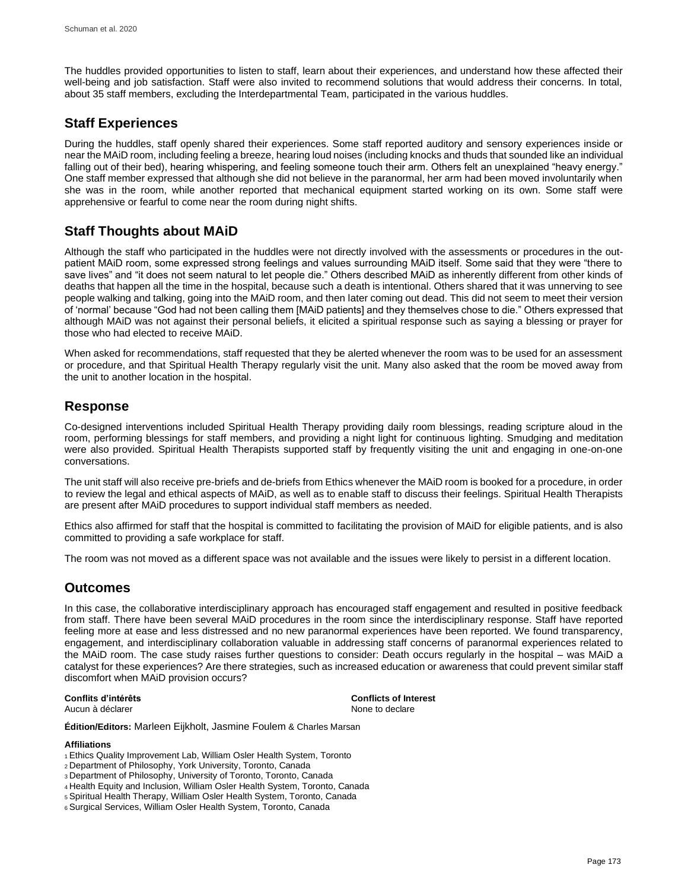The huddles provided opportunities to listen to staff, learn about their experiences, and understand how these affected their well-being and job satisfaction. Staff were also invited to recommend solutions that would address their concerns. In total, about 35 staff members, excluding the Interdepartmental Team, participated in the various huddles.

# **Staff Experiences**

During the huddles, staff openly shared their experiences. Some staff reported auditory and sensory experiences inside or near the MAiD room, including feeling a breeze, hearing loud noises (including knocks and thuds that sounded like an individual falling out of their bed), hearing whispering, and feeling someone touch their arm. Others felt an unexplained "heavy energy." One staff member expressed that although she did not believe in the paranormal, her arm had been moved involuntarily when she was in the room, while another reported that mechanical equipment started working on its own. Some staff were apprehensive or fearful to come near the room during night shifts.

# **Staff Thoughts about MAiD**

Although the staff who participated in the huddles were not directly involved with the assessments or procedures in the outpatient MAiD room, some expressed strong feelings and values surrounding MAiD itself. Some said that they were "there to save lives" and "it does not seem natural to let people die." Others described MAiD as inherently different from other kinds of deaths that happen all the time in the hospital, because such a death is intentional. Others shared that it was unnerving to see people walking and talking, going into the MAiD room, and then later coming out dead. This did not seem to meet their version of 'normal' because "God had not been calling them [MAiD patients] and they themselves chose to die." Others expressed that although MAiD was not against their personal beliefs, it elicited a spiritual response such as saying a blessing or prayer for those who had elected to receive MAiD.

When asked for recommendations, staff requested that they be alerted whenever the room was to be used for an assessment or procedure, and that Spiritual Health Therapy regularly visit the unit. Many also asked that the room be moved away from the unit to another location in the hospital.

## **Response**

Co-designed interventions included Spiritual Health Therapy providing daily room blessings, reading scripture aloud in the room, performing blessings for staff members, and providing a night light for continuous lighting. Smudging and meditation were also provided. Spiritual Health Therapists supported staff by frequently visiting the unit and engaging in one-on-one conversations.

The unit staff will also receive pre-briefs and de-briefs from Ethics whenever the MAiD room is booked for a procedure, in order to review the legal and ethical aspects of MAiD, as well as to enable staff to discuss their feelings. Spiritual Health Therapists are present after MAiD procedures to support individual staff members as needed.

Ethics also affirmed for staff that the hospital is committed to facilitating the provision of MAiD for eligible patients, and is also committed to providing a safe workplace for staff.

The room was not moved as a different space was not available and the issues were likely to persist in a different location.

# **Outcomes**

In this case, the collaborative interdisciplinary approach has encouraged staff engagement and resulted in positive feedback from staff. There have been several MAiD procedures in the room since the interdisciplinary response. Staff have reported feeling more at ease and less distressed and no new paranormal experiences have been reported. We found transparency, engagement, and interdisciplinary collaboration valuable in addressing staff concerns of paranormal experiences related to the MAiD room. The case study raises further questions to consider: Death occurs regularly in the hospital – was MAiD a catalyst for these experiences? Are there strategies, such as increased education or awareness that could prevent similar staff discomfort when MAiD provision occurs?

## **Conflits d'intérêts Conflicts of Interest**

Aucun à déclarer  $\blacksquare$ 

**Édition/Editors:** Marleen Eijkholt, Jasmine Foulem & Charles Marsan

## **Affiliations**

- <sup>1</sup>Ethics Quality Improvement Lab, William Osler Health System, Toronto
- <sup>2</sup>Department of Philosophy, York University, Toronto, Canada
- <sup>3</sup>Department of Philosophy, University of Toronto, Toronto, Canada
- <sup>4</sup> Health Equity and Inclusion, William Osler Health System, Toronto, Canada
- <sup>5</sup> Spiritual Health Therapy, William Osler Health System, Toronto, Canada
- <sup>6</sup> Surgical Services, William Osler Health System, Toronto, Canada